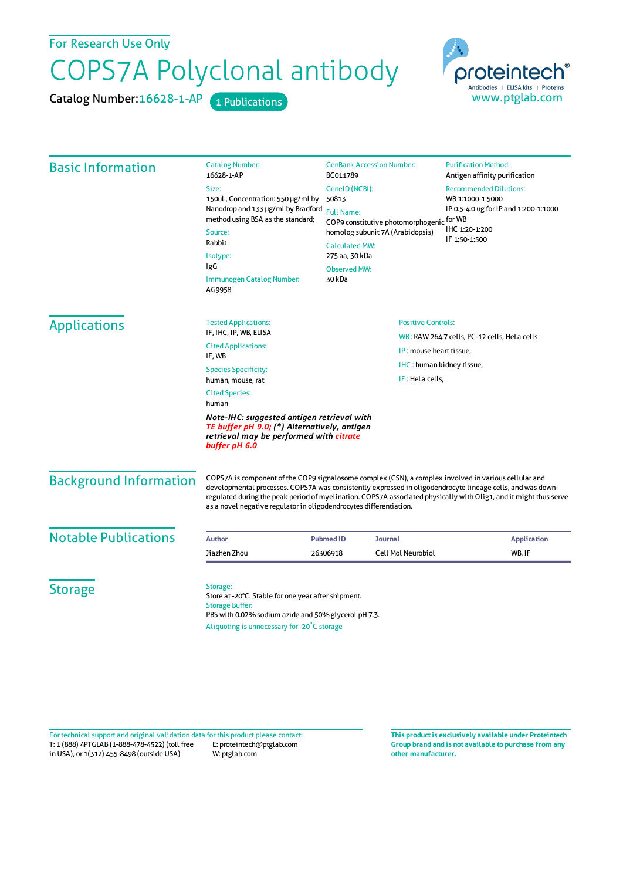For Research Use Only

## COPS7A Polyclonal antibody

Catalog Number: 16628-1-AP 1 Publications



| <b>Basic Information</b>      | <b>Catalog Number:</b><br>16628-1-AP                                                                                                                                                                                                                                                                                                                                                                           | <b>GenBank Accession Number:</b><br>BC011789<br>GeneID (NCBI):<br>50813<br><b>Full Name:</b><br>COP9 constitutive photomorphogenic<br>homolog subunit 7A (Arabidopsis)<br><b>Calculated MW:</b><br>275 aa, 30 kDa<br><b>Observed MW:</b><br>30 kDa |                           | <b>Purification Method:</b><br>Antigen affinity purification                                                                            |
|-------------------------------|----------------------------------------------------------------------------------------------------------------------------------------------------------------------------------------------------------------------------------------------------------------------------------------------------------------------------------------------------------------------------------------------------------------|----------------------------------------------------------------------------------------------------------------------------------------------------------------------------------------------------------------------------------------------------|---------------------------|-----------------------------------------------------------------------------------------------------------------------------------------|
|                               | Size:<br>150ul, Concentration: 550 µg/ml by<br>Nanodrop and 133 µg/ml by Bradford<br>method using BSA as the standard;<br>Source:<br>Rabbit<br>Isotype:<br>IgG<br>Immunogen Catalog Number:<br>AG9958                                                                                                                                                                                                          |                                                                                                                                                                                                                                                    |                           | <b>Recommended Dilutions:</b><br>WB 1:1000-1:5000<br>IP 0.5-4.0 ug for IP and 1:200-1:1000<br>for WB<br>IHC 1:20-1:200<br>IF 1:50-1:500 |
| <b>Applications</b>           | <b>Tested Applications:</b><br>IF, IHC, IP, WB, ELISA                                                                                                                                                                                                                                                                                                                                                          | <b>Positive Controls:</b>                                                                                                                                                                                                                          |                           |                                                                                                                                         |
|                               | <b>Cited Applications:</b>                                                                                                                                                                                                                                                                                                                                                                                     | WB: RAW 264.7 cells, PC-12 cells, HeLa cells<br>IP: mouse heart tissue,                                                                                                                                                                            |                           |                                                                                                                                         |
|                               | IF, WB<br><b>Species Specificity:</b><br>human, mouse, rat                                                                                                                                                                                                                                                                                                                                                     |                                                                                                                                                                                                                                                    | IHC: human kidney tissue, |                                                                                                                                         |
|                               |                                                                                                                                                                                                                                                                                                                                                                                                                | IF: HeLa cells.                                                                                                                                                                                                                                    |                           |                                                                                                                                         |
|                               | <b>Cited Species:</b><br>human                                                                                                                                                                                                                                                                                                                                                                                 |                                                                                                                                                                                                                                                    |                           |                                                                                                                                         |
|                               | Note-IHC: suggested antigen retrieval with<br>TE buffer pH 9.0; (*) Alternatively, antigen<br>retrieval may be performed with citrate<br>buffer pH 6.0                                                                                                                                                                                                                                                         |                                                                                                                                                                                                                                                    |                           |                                                                                                                                         |
| <b>Background Information</b> | COPS7A is component of the COP9 signalosome complex (CSN), a complex involved in various cellular and<br>developmental processes. COPS7A was consistently expressed in oligodendrocyte lineage cells, and was down-<br>regulated during the peak period of myelination. COPS7A associated physically with Olig1, and it might thus serve<br>as a novel negative regulator in oligodendrocytes differentiation. |                                                                                                                                                                                                                                                    |                           |                                                                                                                                         |
| <b>Notable Publications</b>   | Author                                                                                                                                                                                                                                                                                                                                                                                                         | <b>Pubmed ID</b><br><b>Journal</b>                                                                                                                                                                                                                 |                           | <b>Application</b>                                                                                                                      |
|                               | Jiazhen Zhou                                                                                                                                                                                                                                                                                                                                                                                                   | 26306918                                                                                                                                                                                                                                           | <b>Cell Mol Neurobiol</b> | WB, IF                                                                                                                                  |
|                               |                                                                                                                                                                                                                                                                                                                                                                                                                |                                                                                                                                                                                                                                                    |                           |                                                                                                                                         |
| <b>Storage</b>                | Storage:<br>Store at -20°C. Stable for one year after shipment.<br><b>Storage Buffer:</b><br>PBS with 0.02% sodium azide and 50% glycerol pH 7.3.<br>Aliquoting is unnecessary for -20°C storage                                                                                                                                                                                                               |                                                                                                                                                                                                                                                    |                           |                                                                                                                                         |

T: 1 (888) 4PTGLAB (1-888-478-4522) (toll free in USA), or 1(312) 455-8498 (outside USA) E: proteintech@ptglab.com W: ptglab.com Fortechnical support and original validation data forthis product please contact: **This productis exclusively available under Proteintech**

**Group brand and is not available to purchase from any other manufacturer.**